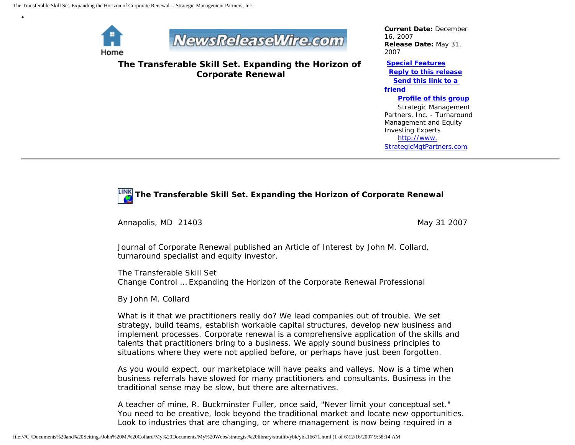

•



**The Transferable Skill Set. Expanding the Horizon of Corporate Renewal**

*Current Date:* December 16, 2007 *Release Date:* May 31, 2007

**[Special Features](javascript:openlittleme() [Reply to this release](file:///C|/Documents%20and%20Settings/John%20M.%20Collard/My%20Documents/My%20Webs/strategist%20library/stratlib/ybk/default.cfm?Action=ReplyRelease&Id=16671) [Send this link to a](file:///C|/Documents%20and%20Settings/John%20M.%20Collard/My%20Documents/My%20Webs/strategist%20library/stratlib/ybk/default.cfm?Action=SendLink&SendId=16671)  [friend](file:///C|/Documents%20and%20Settings/John%20M.%20Collard/My%20Documents/My%20Webs/strategist%20library/stratlib/ybk/default.cfm?Action=SendLink&SendId=16671)**

**[Profile of this group](file:///C|/Documents%20and%20Settings/John%20M.%20Collard/My%20Documents/My%20Webs/strategist%20library/stratlib/ybk/default.cfm?Action=Profile&ProfileId=623)**

 Strategic Management Partners, Inc. - Turnaround Management and Equity Investing Experts [http://www.](http://www.strategicmgtpartners.com/) [StrategicMgtPartners.com](http://www.strategicmgtpartners.com/)

## **The Transferable Skill Set. Expanding the Horizon of Corporate Renewal**

Annapolis, MD 21403 May 31 2007

Journal of Corporate Renewal published an Article of Interest by John M. Collard, turnaround specialist and equity investor.

The Transferable Skill Set Change Control … Expanding the Horizon of the Corporate Renewal Professional

By John M. Collard

What is it that we practitioners really do? We lead companies out of trouble. We set strategy, build teams, establish workable capital structures, develop new business and implement processes. Corporate renewal is a comprehensive application of the skills and talents that practitioners bring to a business. We apply sound business principles to situations where they were not applied before, or perhaps have just been forgotten.

As you would expect, our marketplace will have peaks and valleys. Now is a time when business referrals have slowed for many practitioners and consultants. Business in the traditional sense may be slow, but there are alternatives.

A teacher of mine, R. Buckminster Fuller, once said, "Never limit your conceptual set." You need to be creative, look beyond the traditional market and locate new opportunities. Look to industries that are changing, or where management is now being required in a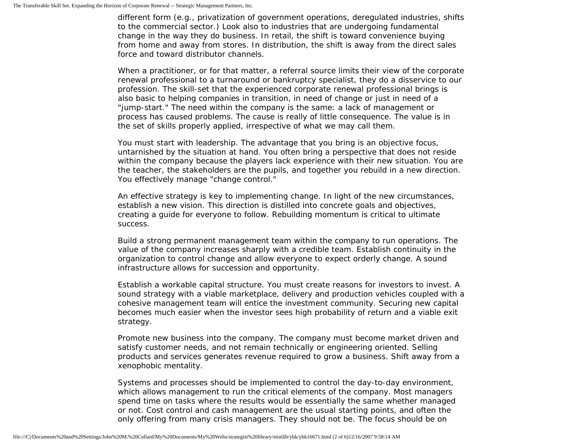different form (e.g., privatization of government operations, deregulated industries, shifts to the commercial sector.) Look also to industries that are undergoing fundamental change in the way they do business. In retail, the shift is toward convenience buying from home and away from stores. In distribution, the shift is away from the direct sales force and toward distributor channels.

When a practitioner, or for that matter, a referral source limits their view of the corporate renewal professional to a turnaround or bankruptcy specialist, they do a disservice to our profession. The skill-set that the experienced corporate renewal professional brings is also basic to helping companies in transition, in need of change or just in need of a "jump-start." The need within the company is the same: a lack of management or process has caused problems. The cause is really of little consequence. The value is in the set of skills properly applied, irrespective of what we may call them.

You must start with leadership. The advantage that you bring is an objective focus, untarnished by the situation at hand. You often bring a perspective that does not reside within the company because the players lack experience with their new situation. You are the teacher, the stakeholders are the pupils, and together you rebuild in a new direction. You effectively manage "change control."

An effective strategy is key to implementing change. In light of the new circumstances, establish a new vision. This direction is distilled into concrete goals and objectives, creating a guide for everyone to follow. Rebuilding momentum is critical to ultimate success.

Build a strong permanent management team within the company to run operations. The value of the company increases sharply with a credible team. Establish continuity in the organization to control change and allow everyone to expect orderly change. A sound infrastructure allows for succession and opportunity.

Establish a workable capital structure. You must create reasons for investors to invest. A sound strategy with a viable marketplace, delivery and production vehicles coupled with a cohesive management team will entice the investment community. Securing new capital becomes much easier when the investor sees high probability of return and a viable exit strategy.

Promote new business into the company. The company must become market driven and satisfy customer needs, and not remain technically or engineering oriented. Selling products and services generates revenue required to grow a business. Shift away from a xenophobic mentality.

Systems and processes should be implemented to control the day-to-day environment, which allows management to run the critical elements of the company. Most managers spend time on tasks where the results would be essentially the same whether managed or not. Cost control and cash management are the usual starting points, and often the only offering from many crisis managers. They should not be. The focus should be on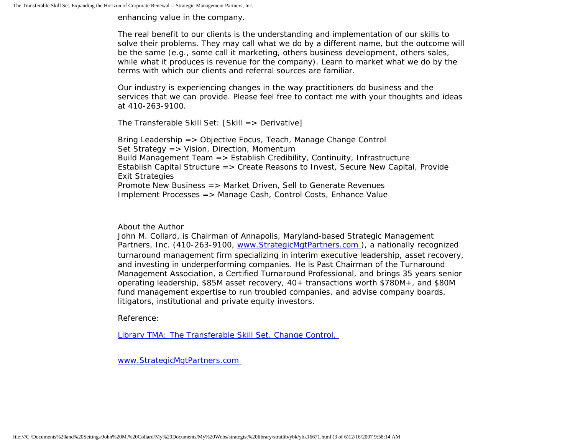enhancing value in the company.

The real benefit to our clients is the understanding and implementation of our skills to solve their problems. They may call what we do by a different name, but the outcome will be the same (e.g., some call it marketing, others business development, others sales, while what it produces is revenue for the company). Learn to market what we do by the terms with which our clients and referral sources are familiar.

Our industry is experiencing changes in the way practitioners do business and the services that we can provide. Please feel free to contact me with your thoughts and ideas at 410-263-9100.

The Transferable Skill Set: [Skill => Derivative]

Bring Leadership => Objective Focus, Teach, Manage Change Control Set Strategy => Vision, Direction, Momentum Build Management Team => Establish Credibility, Continuity, Infrastructure Establish Capital Structure => Create Reasons to Invest, Secure New Capital, Provide Exit Strategies Promote New Business => Market Driven, Sell to Generate Revenues Implement Processes => Manage Cash, Control Costs, Enhance Value

## About the Author

John M. Collard, is Chairman of Annapolis, Maryland-based Strategic Management Partners, Inc. (410-263-9100, [www.StrategicMgtPartners.com](http://www.strategicmgtpartners.com/) ), a nationally recognized turnaround management firm specializing in interim executive leadership, asset recovery, and investing in underperforming companies. He is Past Chairman of the Turnaround Management Association, a Certified Turnaround Professional, and brings 35 years senior operating leadership, \$85M asset recovery, 40+ transactions worth \$780M+, and \$80M fund management expertise to run troubled companies, and advise company boards, litigators, institutional and private equity investors.

Reference:

[Library TMA: The Transferable Skill Set. Change Control.](http://www.turnaround.org/news/letter.asp?objectID=2045) 

[www.StrategicMgtPartners.com](http://www.strategicmgtpartners.com/)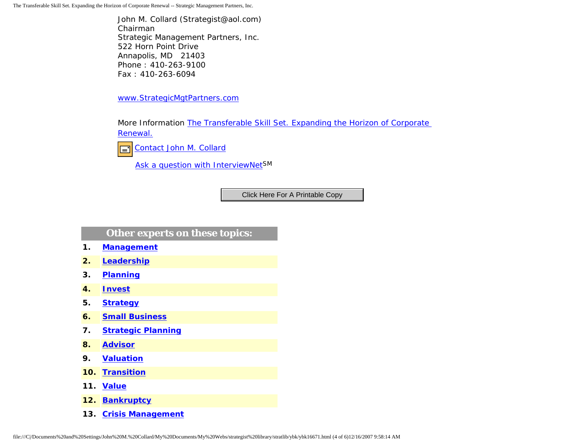The Transferable Skill Set. Expanding the Horizon of Corporate Renewal -- Strategic Management Partners, Inc.

John M. Collard (Strategist@aol.com) Chairman Strategic Management Partners, Inc. 522 Horn Point Drive Annapolis, MD 21403 Phone : 410-263-9100 Fax : 410-263-6094

[www.StrategicMgtPartners.com](http://www.strategicmgtpartners.com/)

More Information [The Transferable Skill Set. Expanding the Horizon of Corporate](http://www.turnaround.org/news/letter.asp?objectID=2045) [Renewal.](http://www.turnaround.org/news/letter.asp?objectID=2045)



[Ask a question with InterviewNetS](http://www.expertclick.com/expertClick/contact/default.cfm?GroupID=1016)M

## **Other experts on these topics:**

- **1. [Management](http://www.expertclick.com/search/default.cfm?SearchCriteria=Management)**
- **2. [Leadership](http://www.expertclick.com/search/default.cfm?SearchCriteria=Leadership)**
- **3. [Planning](http://www.expertclick.com/search/default.cfm?SearchCriteria=Planning)**
- **4. [Invest](http://www.expertclick.com/search/default.cfm?SearchCriteria=Invest)**
- **5. [Strategy](http://www.expertclick.com/search/default.cfm?SearchCriteria=Strategy)**
- **6. [Small Business](http://www.expertclick.com/search/default.cfm?SearchCriteria=Small Business)**
- **7. [Strategic Planning](http://www.expertclick.com/search/default.cfm?SearchCriteria=Strategic Planning)**
- **8. [Advisor](http://www.expertclick.com/search/default.cfm?SearchCriteria=Advisor)**
- **9. [Valuation](http://www.expertclick.com/search/default.cfm?SearchCriteria=Valuation)**
- **10. [Transition](http://www.expertclick.com/search/default.cfm?SearchCriteria=Transition)**
- **11. [Value](http://www.expertclick.com/search/default.cfm?SearchCriteria=Value)**
- **12. [Bankruptcy](http://www.expertclick.com/search/default.cfm?SearchCriteria=Bankruptcy)**
- **13. [Crisis Management](http://www.expertclick.com/search/default.cfm?SearchCriteria=Crisis Management)**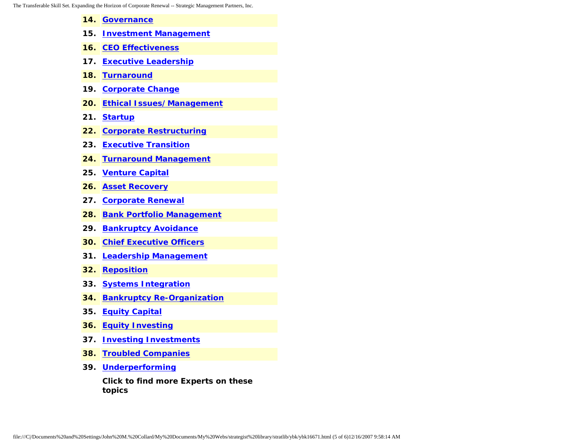- **14. [Governance](http://www.expertclick.com/search/default.cfm?SearchCriteria=Governance)**
- **15. [Investment Management](http://www.expertclick.com/search/default.cfm?SearchCriteria=Investment Management)**
- **16. [CEO Effectiveness](http://www.expertclick.com/search/default.cfm?SearchCriteria=CEO Effectiveness)**
- **17. [Executive Leadership](http://www.expertclick.com/search/default.cfm?SearchCriteria=Executive Leadership)**
- **18. [Turnaround](http://www.expertclick.com/search/default.cfm?SearchCriteria=Turnaround)**
- **19. [Corporate Change](http://www.expertclick.com/search/default.cfm?SearchCriteria=Corporate Change)**
- **20. [Ethical Issues/Management](http://www.expertclick.com/search/default.cfm?SearchCriteria=Ethical Issues/Management)**
- **21. [Startup](http://www.expertclick.com/search/default.cfm?SearchCriteria=Startup)**
- **22. [Corporate Restructuring](http://www.expertclick.com/search/default.cfm?SearchCriteria=Corporate Restructuring)**
- **23. [Executive Transition](http://www.expertclick.com/search/default.cfm?SearchCriteria=Executive Transition)**
- **24. [Turnaround Management](http://www.expertclick.com/search/default.cfm?SearchCriteria=Turnaround Management)**
- **25. [Venture Capital](http://www.expertclick.com/search/default.cfm?SearchCriteria=Venture Capital)**
- **26. [Asset Recovery](http://www.expertclick.com/search/default.cfm?SearchCriteria=Asset Recovery)**
- **27. [Corporate Renewal](http://www.expertclick.com/search/default.cfm?SearchCriteria=Corporate Renewal)**
- **28. [Bank Portfolio Management](http://www.expertclick.com/search/default.cfm?SearchCriteria=Bank Portfolio Management)**
- **29. [Bankruptcy Avoidance](http://www.expertclick.com/search/default.cfm?SearchCriteria=Bankruptcy Avoidance)**
- **30. [Chief Executive Officers](http://www.expertclick.com/search/default.cfm?SearchCriteria=Chief Executive Officers)**
- **31. [Leadership Management](http://www.expertclick.com/search/default.cfm?SearchCriteria=Leadership Management)**
- **32. [Reposition](http://www.expertclick.com/search/default.cfm?SearchCriteria=Reposition)**
- **33. [Systems Integration](http://www.expertclick.com/search/default.cfm?SearchCriteria=Systems Integration)**
- **34. [Bankruptcy Re-Organization](http://www.expertclick.com/search/default.cfm?SearchCriteria=Bankruptcy Re-Organization)**
- **35. [Equity Capital](http://www.expertclick.com/search/default.cfm?SearchCriteria=Equity Capital)**
- **36. [Equity Investing](http://www.expertclick.com/search/default.cfm?SearchCriteria=Equity Investing)**
- **37. [Investing Investments](http://www.expertclick.com/search/default.cfm?SearchCriteria=Investing Investments)**
- **38. [Troubled Companies](http://www.expertclick.com/search/default.cfm?SearchCriteria=Troubled Companies)**
- **39. [Underperforming](http://www.expertclick.com/search/default.cfm?SearchCriteria=Underperforming)**

**Click to find more Experts on these topics**